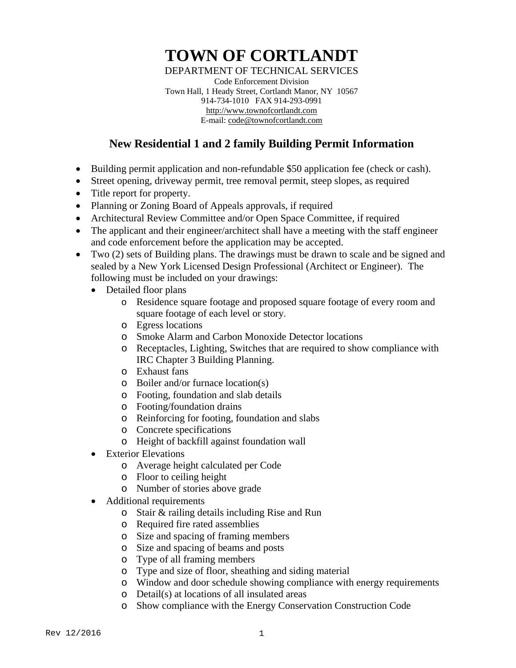## **TOWN OF CORTLANDT**

DEPARTMENT OF TECHNICAL SERVICES

Code Enforcement Division Town Hall, 1 Heady Street, Cortlandt Manor, NY 10567 914-734-1010 FAX 914-293-0991 [http://www.townofcortlandt.com](http://www.townofcortlandt.com/) E-mail: [code@townofcortlandt.com](mailto:code@townofcortlandt.com)

## **New Residential 1 and 2 family Building Permit Information**

- Building permit application and non-refundable \$50 application fee (check or cash).
- Street opening, driveway permit, tree removal permit, steep slopes, as required
- Title report for property.
- Planning or Zoning Board of Appeals approvals, if required
- Architectural Review Committee and/or Open Space Committee, if required
- The applicant and their engineer/architect shall have a meeting with the staff engineer and code enforcement before the application may be accepted.
- Two (2) sets of Building plans. The drawings must be drawn to scale and be signed and sealed by a New York Licensed Design Professional (Architect or Engineer). The following must be included on your drawings:
	- Detailed floor plans
		- o Residence square footage and proposed square footage of every room and square footage of each level or story.
		- o Egress locations
		- o Smoke Alarm and Carbon Monoxide Detector locations
		- o Receptacles, Lighting, Switches that are required to show compliance with IRC Chapter 3 Building Planning.
		- o Exhaust fans
		- o Boiler and/or furnace location(s)
		- o Footing, foundation and slab details
		- o Footing/foundation drains
		- o Reinforcing for footing, foundation and slabs
		- o Concrete specifications
		- o Height of backfill against foundation wall
	- Exterior Elevations
		- o Average height calculated per Code
		- o Floor to ceiling height
		- o Number of stories above grade
	- Additional requirements
		- o Stair & railing details including Rise and Run
		- o Required fire rated assemblies
		- o Size and spacing of framing members
		- o Size and spacing of beams and posts
		- o Type of all framing members
		- o Type and size of floor, sheathing and siding material
		- o Window and door schedule showing compliance with energy requirements
		- o Detail(s) at locations of all insulated areas
		- o Show compliance with the Energy Conservation Construction Code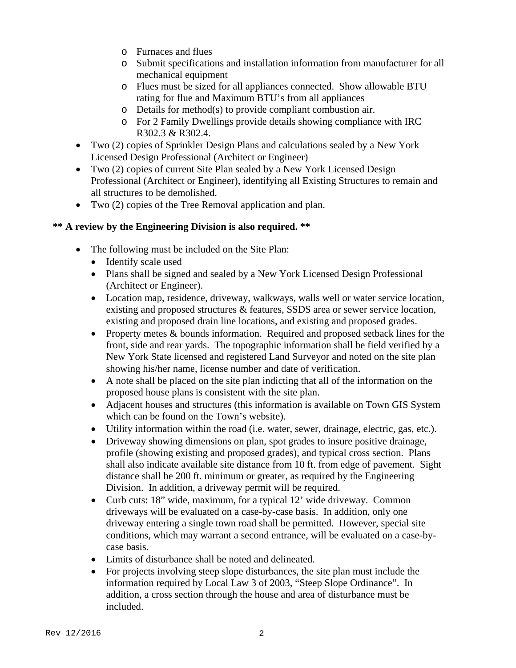- o Furnaces and flues
- o Submit specifications and installation information from manufacturer for all mechanical equipment
- o Flues must be sized for all appliances connected. Show allowable BTU rating for flue and Maximum BTU's from all appliances
- o Details for method(s) to provide compliant combustion air.
- o For 2 Family Dwellings provide details showing compliance with IRC R302.3 & R302.4.
- Two (2) copies of Sprinkler Design Plans and calculations sealed by a New York Licensed Design Professional (Architect or Engineer)
- Two (2) copies of current Site Plan sealed by a New York Licensed Design Professional (Architect or Engineer), identifying all Existing Structures to remain and all structures to be demolished.
- Two (2) copies of the Tree Removal application and plan.

## **\*\* A review by the Engineering Division is also required. \*\***

- The following must be included on the Site Plan:
	- Identify scale used
	- Plans shall be signed and sealed by a New York Licensed Design Professional (Architect or Engineer).
	- Location map, residence, driveway, walkways, walls well or water service location, existing and proposed structures & features, SSDS area or sewer service location, existing and proposed drain line locations, and existing and proposed grades.
	- Property metes & bounds information. Required and proposed setback lines for the front, side and rear yards. The topographic information shall be field verified by a New York State licensed and registered Land Surveyor and noted on the site plan showing his/her name, license number and date of verification.
	- A note shall be placed on the site plan indicting that all of the information on the proposed house plans is consistent with the site plan.
	- Adjacent houses and structures (this information is available on Town GIS System which can be found on the Town's website).
	- Utility information within the road (i.e. water, sewer, drainage, electric, gas, etc.).
	- Driveway showing dimensions on plan, spot grades to insure positive drainage, profile (showing existing and proposed grades), and typical cross section. Plans shall also indicate available site distance from 10 ft. from edge of pavement. Sight distance shall be 200 ft. minimum or greater, as required by the Engineering Division. In addition, a driveway permit will be required.
	- Curb cuts: 18" wide, maximum, for a typical 12' wide driveway. Common driveways will be evaluated on a case-by-case basis. In addition, only one driveway entering a single town road shall be permitted. However, special site conditions, which may warrant a second entrance, will be evaluated on a case-bycase basis.
	- Limits of disturbance shall be noted and delineated.
	- For projects involving steep slope disturbances, the site plan must include the information required by Local Law 3 of 2003, "Steep Slope Ordinance". In addition, a cross section through the house and area of disturbance must be included.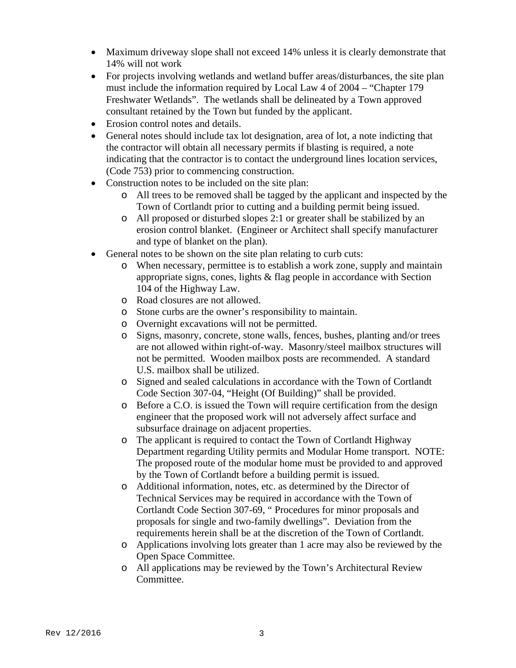- Maximum driveway slope shall not exceed 14% unless it is clearly demonstrate that 14% will not work
- For projects involving wetlands and wetland buffer areas/disturbances, the site plan must include the information required by Local Law 4 of 2004 – "Chapter 179 Freshwater Wetlands". The wetlands shall be delineated by a Town approved consultant retained by the Town but funded by the applicant.
- Erosion control notes and details.
- General notes should include tax lot designation, area of lot, a note indicting that the contractor will obtain all necessary permits if blasting is required, a note indicating that the contractor is to contact the underground lines location services, (Code 753) prior to commencing construction.
- Construction notes to be included on the site plan:
	- o All trees to be removed shall be tagged by the applicant and inspected by the Town of Cortlandt prior to cutting and a building permit being issued.
	- o All proposed or disturbed slopes 2:1 or greater shall be stabilized by an erosion control blanket. (Engineer or Architect shall specify manufacturer and type of blanket on the plan).
- General notes to be shown on the site plan relating to curb cuts:
	- o When necessary, permittee is to establish a work zone, supply and maintain appropriate signs, cones, lights & flag people in accordance with Section 104 of the Highway Law.
	- o Road closures are not allowed.
	- o Stone curbs are the owner's responsibility to maintain.
	- o Overnight excavations will not be permitted.
	- o Signs, masonry, concrete, stone walls, fences, bushes, planting and/or trees are not allowed within right-of-way. Masonry/steel mailbox structures will not be permitted. Wooden mailbox posts are recommended. A standard U.S. mailbox shall be utilized.
	- o Signed and sealed calculations in accordance with the Town of Cortlandt Code Section 307-04, "Height (Of Building)" shall be provided.
	- o Before a C.O. is issued the Town will require certification from the design engineer that the proposed work will not adversely affect surface and subsurface drainage on adjacent properties.
	- o The applicant is required to contact the Town of Cortlandt Highway Department regarding Utility permits and Modular Home transport. NOTE: The proposed route of the modular home must be provided to and approved by the Town of Cortlandt before a building permit is issued.
	- o Additional information, notes, etc. as determined by the Director of Technical Services may be required in accordance with the Town of Cortlandt Code Section 307-69, " Procedures for minor proposals and proposals for single and two-family dwellings". Deviation from the requirements herein shall be at the discretion of the Town of Cortlandt.
	- o Applications involving lots greater than 1 acre may also be reviewed by the Open Space Committee.
	- o All applications may be reviewed by the Town's Architectural Review Committee.